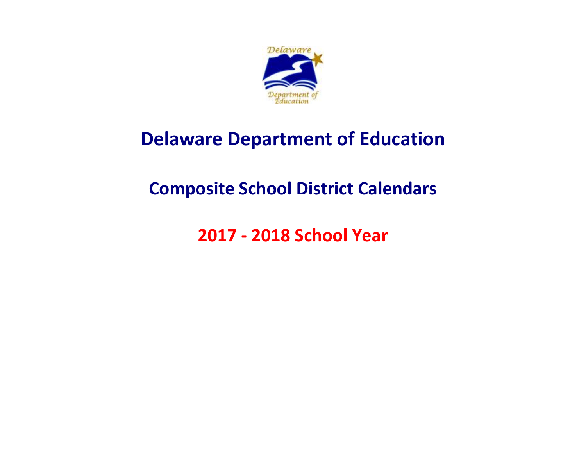

# **Delaware Department of Education**

# **Composite School District Calendars**

**2017 - 2018 School Year**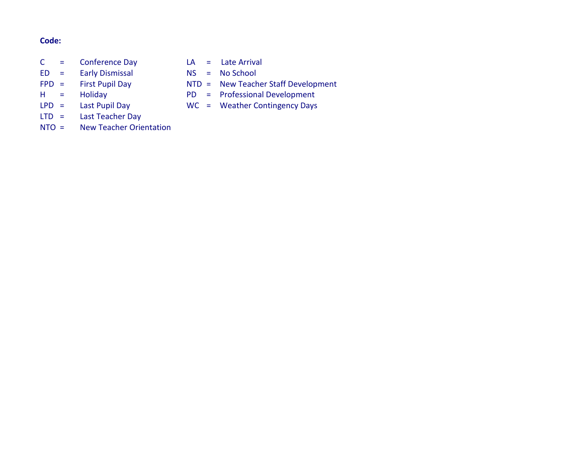#### **Code:**

- C = Conference Day LA = Late Arrival
- ED = Early Dismissal NS = No School
- 
- 
- 
- LTD = Last Teacher Day
- NTO = New Teacher Orientation
- 
- 
- FPD = First Pupil Day NTD = New Teacher Staff Development
- H = Holiday PD = Professional Development
- LPD = Last Pupil Day WC = Weather Contingency Days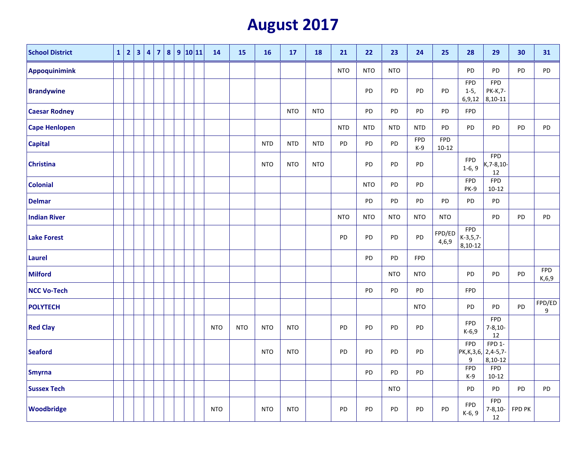## **August 2017**

| <b>School District</b> | 1 2 | $\vert$ 3 | $\overline{4}$ | $\overline{7}$ | 8 <sup>1</sup> |  | 9 10 11 | 14         | 15         | <b>16</b>  | 17         | <b>18</b>  | 21         | 22         | 23         | 24                  | 25                      | 28                                    | 29                                            | 30        | 31                    |
|------------------------|-----|-----------|----------------|----------------|----------------|--|---------|------------|------------|------------|------------|------------|------------|------------|------------|---------------------|-------------------------|---------------------------------------|-----------------------------------------------|-----------|-----------------------|
| <b>Appoquinimink</b>   |     |           |                |                |                |  |         |            |            |            |            |            | <b>NTO</b> | <b>NTO</b> | <b>NTO</b> |                     |                         | PD                                    | PD                                            | PD        | PD                    |
| <b>Brandywine</b>      |     |           |                |                |                |  |         |            |            |            |            |            |            | PD         | PD         | PD                  | PD                      | <b>FPD</b><br>$1-5,$<br>6, 9, 12      | <b>FPD</b><br>PK-K,7-<br>$8,10-11$            |           |                       |
| <b>Caesar Rodney</b>   |     |           |                |                |                |  |         |            |            |            | <b>NTO</b> | <b>NTO</b> |            | PD         | PD         | PD                  | PD                      | <b>FPD</b>                            |                                               |           |                       |
| <b>Cape Henlopen</b>   |     |           |                |                |                |  |         |            |            |            |            |            | <b>NTD</b> | <b>NTD</b> | <b>NTD</b> | <b>NTD</b>          | PD                      | PD                                    | PD                                            | <b>PD</b> | PD                    |
| <b>Capital</b>         |     |           |                |                |                |  |         |            |            | <b>NTD</b> | <b>NTD</b> | <b>NTD</b> | PD         | PD         | PD         | <b>FPD</b><br>$K-9$ | <b>FPD</b><br>$10 - 12$ |                                       |                                               |           |                       |
| <b>Christina</b>       |     |           |                |                |                |  |         |            |            | <b>NTO</b> | <b>NTO</b> | <b>NTO</b> |            | PD         | PD         | PD                  |                         | <b>FPD</b><br>$1-6, 9$                | <b>FPD</b><br>$K, 7 - 8, 10 -$<br>12          |           |                       |
| <b>Colonial</b>        |     |           |                |                |                |  |         |            |            |            |            |            |            | <b>NTO</b> | PD         | PD                  |                         | <b>FPD</b><br>PK-9                    | <b>FPD</b><br>$10 - 12$                       |           |                       |
| <b>Delmar</b>          |     |           |                |                |                |  |         |            |            |            |            |            |            | PD         | PD         | PD                  | PD                      | PD                                    | PD                                            |           |                       |
| <b>Indian River</b>    |     |           |                |                |                |  |         |            |            |            |            |            | <b>NTO</b> | <b>NTO</b> | <b>NTO</b> | <b>NTO</b>          | <b>NTO</b>              |                                       | PD                                            | PD        | PD                    |
| <b>Lake Forest</b>     |     |           |                |                |                |  |         |            |            |            |            |            | PD         | PD         | PD         | PD                  | FPD/ED<br>4,6,9         | <b>FPD</b><br>$K-3,5,7-$<br>$8,10-12$ |                                               |           |                       |
| Laurel                 |     |           |                |                |                |  |         |            |            |            |            |            |            | PD         | PD         | <b>FPD</b>          |                         |                                       |                                               |           |                       |
| Milford                |     |           |                |                |                |  |         |            |            |            |            |            |            |            | <b>NTO</b> | <b>NTO</b>          |                         | PD                                    | PD                                            | PD        | <b>FPD</b><br>K, 6, 9 |
| <b>NCC Vo-Tech</b>     |     |           |                |                |                |  |         |            |            |            |            |            |            | PD         | PD         | PD                  |                         | <b>FPD</b>                            |                                               |           |                       |
| <b>POLYTECH</b>        |     |           |                |                |                |  |         |            |            |            |            |            |            |            |            | <b>NTO</b>          |                         | PD                                    | PD                                            | <b>PD</b> | FPD/ED<br>9           |
| <b>Red Clay</b>        |     |           |                |                |                |  |         | <b>NTO</b> | <b>NTO</b> | <b>NTO</b> | <b>NTO</b> |            | PD         | PD         | PD         | PD                  |                         | <b>FPD</b><br>$K-6,9$                 | <b>FPD</b><br>$7 - 8,10 -$<br>12              |           |                       |
| Seaford                |     |           |                |                |                |  |         |            |            | <b>NTO</b> | <b>NTO</b> |            | PD         | PD         | PD         | PD                  |                         | <b>FPD</b><br>PK, K, 3, 6,<br>9       | FPD <sub>1</sub> -<br>$2,4-5,7-$<br>$8,10-12$ |           |                       |
| <b>Smyrna</b>          |     |           |                |                |                |  |         |            |            |            |            |            |            | PD         | PD         | PD                  |                         | <b>FPD</b><br>$K-9$                   | <b>FPD</b><br>$10 - 12$                       |           |                       |
| <b>Sussex Tech</b>     |     |           |                |                |                |  |         |            |            |            |            |            |            |            | <b>NTO</b> |                     |                         | PD                                    | PD                                            | PD        | PD                    |
| Woodbridge             |     |           |                |                |                |  |         | <b>NTO</b> |            | <b>NTO</b> | <b>NTO</b> |            | PD         | PD         | PD         | PD                  | PD                      | <b>FPD</b><br>K-6, 9                  | <b>FPD</b><br>$7 - 8,10 -$<br>12              | FPD PK    |                       |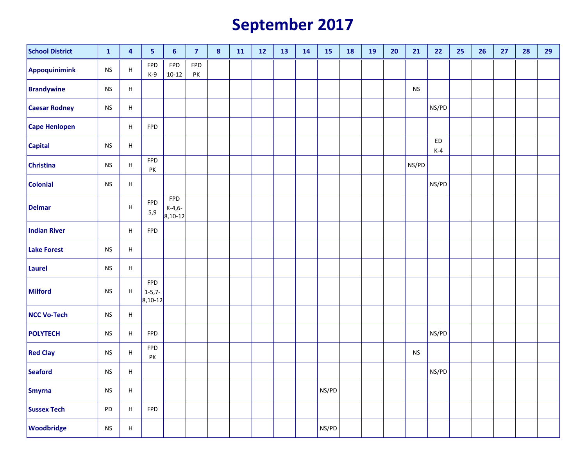# **September 2017**

| <b>School District</b> | $\mathbf{1}$         | $\overline{a}$            | 5                                | $6\phantom{1}$             | $\overline{7}$   | $\boldsymbol{8}$ | 11 | 12 | 13 | 14 | 15    | <b>18</b> | <b>19</b> | 20 | 21        | 22          | 25 | 26 | 27 | 28 | 29 |
|------------------------|----------------------|---------------------------|----------------------------------|----------------------------|------------------|------------------|----|----|----|----|-------|-----------|-----------|----|-----------|-------------|----|----|----|----|----|
| Appoquinimink          | $\mathsf{NS}\xspace$ | $\boldsymbol{\mathsf{H}}$ | <b>FPD</b><br>$K-9$              | <b>FPD</b><br>$10 - 12$    | <b>FPD</b><br>PK |                  |    |    |    |    |       |           |           |    |           |             |    |    |    |    |    |
| <b>Brandywine</b>      | <b>NS</b>            | $\boldsymbol{\mathsf{H}}$ |                                  |                            |                  |                  |    |    |    |    |       |           |           |    | <b>NS</b> |             |    |    |    |    |    |
| <b>Caesar Rodney</b>   | <b>NS</b>            | $\boldsymbol{\mathsf{H}}$ |                                  |                            |                  |                  |    |    |    |    |       |           |           |    |           | NS/PD       |    |    |    |    |    |
| <b>Cape Henlopen</b>   |                      | H                         | <b>FPD</b>                       |                            |                  |                  |    |    |    |    |       |           |           |    |           |             |    |    |    |    |    |
| <b>Capital</b>         | $\mathsf{NS}\xspace$ | $\sf H$                   |                                  |                            |                  |                  |    |    |    |    |       |           |           |    |           | ED<br>$K-4$ |    |    |    |    |    |
| <b>Christina</b>       | $\mathsf{NS}\xspace$ | $\boldsymbol{\mathsf{H}}$ | FPD<br>PK                        |                            |                  |                  |    |    |    |    |       |           |           |    | NS/PD     |             |    |    |    |    |    |
| <b>Colonial</b>        | <b>NS</b>            | $\boldsymbol{\mathsf{H}}$ |                                  |                            |                  |                  |    |    |    |    |       |           |           |    |           | NS/PD       |    |    |    |    |    |
| <b>Delmar</b>          |                      | $\boldsymbol{\mathsf{H}}$ | FPD<br>5,9                       | FPD<br>K-4,6-<br>$8,10-12$ |                  |                  |    |    |    |    |       |           |           |    |           |             |    |    |    |    |    |
| <b>Indian River</b>    |                      | H                         | <b>FPD</b>                       |                            |                  |                  |    |    |    |    |       |           |           |    |           |             |    |    |    |    |    |
| <b>Lake Forest</b>     | <b>NS</b>            | $\boldsymbol{\mathsf{H}}$ |                                  |                            |                  |                  |    |    |    |    |       |           |           |    |           |             |    |    |    |    |    |
| <b>Laurel</b>          | <b>NS</b>            | $\boldsymbol{\mathsf{H}}$ |                                  |                            |                  |                  |    |    |    |    |       |           |           |    |           |             |    |    |    |    |    |
| <b>Milford</b>         | <b>NS</b>            | $\boldsymbol{\mathsf{H}}$ | FPD<br>$1 - 5, 7 -$<br>$8,10-12$ |                            |                  |                  |    |    |    |    |       |           |           |    |           |             |    |    |    |    |    |
| <b>NCC Vo-Tech</b>     | $\mathsf{NS}\xspace$ | $\boldsymbol{\mathsf{H}}$ |                                  |                            |                  |                  |    |    |    |    |       |           |           |    |           |             |    |    |    |    |    |
| <b>POLYTECH</b>        | <b>NS</b>            | $\boldsymbol{\mathsf{H}}$ | <b>FPD</b>                       |                            |                  |                  |    |    |    |    |       |           |           |    |           | NS/PD       |    |    |    |    |    |
| <b>Red Clay</b>        | <b>NS</b>            | H                         | FPD<br>PK                        |                            |                  |                  |    |    |    |    |       |           |           |    | <b>NS</b> |             |    |    |    |    |    |
| Seaford                | <b>NS</b>            | $\sf H$                   |                                  |                            |                  |                  |    |    |    |    |       |           |           |    |           | NS/PD       |    |    |    |    |    |
| <b>Smyrna</b>          | $\mathsf{NS}\xspace$ | $\boldsymbol{\mathsf{H}}$ |                                  |                            |                  |                  |    |    |    |    | NS/PD |           |           |    |           |             |    |    |    |    |    |
| <b>Sussex Tech</b>     | PD                   | $\boldsymbol{\mathsf{H}}$ | FPD                              |                            |                  |                  |    |    |    |    |       |           |           |    |           |             |    |    |    |    |    |
| Woodbridge             | $\mathsf{NS}\xspace$ | $\boldsymbol{\mathsf{H}}$ |                                  |                            |                  |                  |    |    |    |    | NS/PD |           |           |    |           |             |    |    |    |    |    |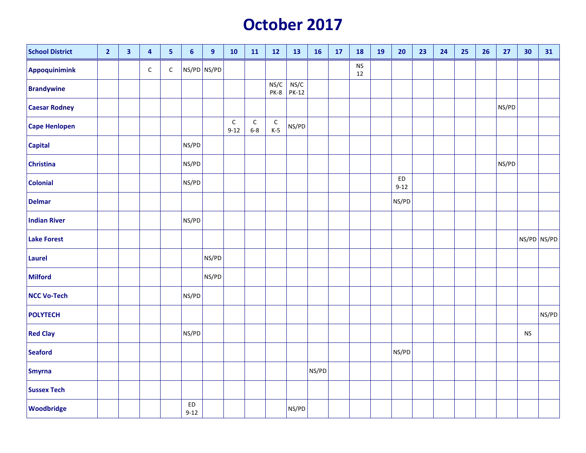### **October 2017**

| <b>School District</b> | $\overline{2}$ | $\overline{\mathbf{3}}$ | $\overline{\mathbf{4}}$ | 5           | $\boldsymbol{6}$ | $\boldsymbol{9}$ | 10                      | 11                     | 12                     | 13                   | <b>16</b> | 17 | <b>18</b>       | <b>19</b> | 20             | 23 | 24 | 25 | 26 | 27    | 30          | 31    |
|------------------------|----------------|-------------------------|-------------------------|-------------|------------------|------------------|-------------------------|------------------------|------------------------|----------------------|-----------|----|-----------------|-----------|----------------|----|----|----|----|-------|-------------|-------|
| <b>Appoquinimink</b>   |                |                         | $\mathsf C$             | $\mathsf C$ |                  | $NS/PD$ $NS/PD$  |                         |                        |                        |                      |           |    | <b>NS</b><br>12 |           |                |    |    |    |    |       |             |       |
| <b>Brandywine</b>      |                |                         |                         |             |                  |                  |                         |                        | NS/C<br>PK-8           | NS/C<br><b>PK-12</b> |           |    |                 |           |                |    |    |    |    |       |             |       |
| <b>Caesar Rodney</b>   |                |                         |                         |             |                  |                  |                         |                        |                        |                      |           |    |                 |           |                |    |    |    |    | NS/PD |             |       |
| <b>Cape Henlopen</b>   |                |                         |                         |             |                  |                  | $\mathsf C$<br>$9 - 12$ | $\mathsf C$<br>$6 - 8$ | ${\mathsf C}$<br>$K-5$ | NS/PD                |           |    |                 |           |                |    |    |    |    |       |             |       |
| <b>Capital</b>         |                |                         |                         |             | NS/PD            |                  |                         |                        |                        |                      |           |    |                 |           |                |    |    |    |    |       |             |       |
| <b>Christina</b>       |                |                         |                         |             | NS/PD            |                  |                         |                        |                        |                      |           |    |                 |           |                |    |    |    |    | NS/PD |             |       |
| <b>Colonial</b>        |                |                         |                         |             | NS/PD            |                  |                         |                        |                        |                      |           |    |                 |           | ED<br>$9 - 12$ |    |    |    |    |       |             |       |
| <b>Delmar</b>          |                |                         |                         |             |                  |                  |                         |                        |                        |                      |           |    |                 |           | NS/PD          |    |    |    |    |       |             |       |
| <b>Indian River</b>    |                |                         |                         |             | NS/PD            |                  |                         |                        |                        |                      |           |    |                 |           |                |    |    |    |    |       |             |       |
| <b>Lake Forest</b>     |                |                         |                         |             |                  |                  |                         |                        |                        |                      |           |    |                 |           |                |    |    |    |    |       | NS/PD NS/PD |       |
| <b>Laurel</b>          |                |                         |                         |             |                  | NS/PD            |                         |                        |                        |                      |           |    |                 |           |                |    |    |    |    |       |             |       |
| <b>Milford</b>         |                |                         |                         |             |                  | NS/PD            |                         |                        |                        |                      |           |    |                 |           |                |    |    |    |    |       |             |       |
| <b>NCC Vo-Tech</b>     |                |                         |                         |             | NS/PD            |                  |                         |                        |                        |                      |           |    |                 |           |                |    |    |    |    |       |             |       |
| <b>POLYTECH</b>        |                |                         |                         |             |                  |                  |                         |                        |                        |                      |           |    |                 |           |                |    |    |    |    |       |             | NS/PD |
| <b>Red Clay</b>        |                |                         |                         |             | NS/PD            |                  |                         |                        |                        |                      |           |    |                 |           |                |    |    |    |    |       | <b>NS</b>   |       |
| Seaford                |                |                         |                         |             |                  |                  |                         |                        |                        |                      |           |    |                 |           | NS/PD          |    |    |    |    |       |             |       |
| <b>Smyrna</b>          |                |                         |                         |             |                  |                  |                         |                        |                        |                      | NS/PD     |    |                 |           |                |    |    |    |    |       |             |       |
| <b>Sussex Tech</b>     |                |                         |                         |             |                  |                  |                         |                        |                        |                      |           |    |                 |           |                |    |    |    |    |       |             |       |
| Woodbridge             |                |                         |                         |             | ED<br>$9 - 12$   |                  |                         |                        |                        | NS/PD                |           |    |                 |           |                |    |    |    |    |       |             |       |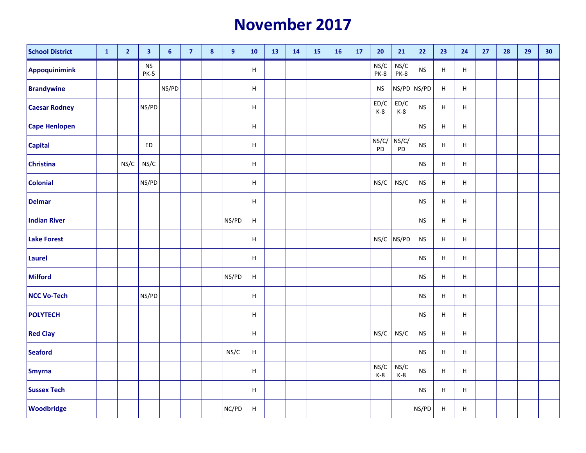### **November 2017**

| <b>School District</b> | ${\bf 1}$ | $\overline{2}$ | 3                        | $6\phantom{a}$ | $\overline{7}$ | $\pmb{8}$ | $\boldsymbol{9}$ | 10                        | 13 | 14 | 15 | 16 | 17 | 20            | 21            | 22        | 23                        | 24      | 27 | 28 | 29 | 30 |
|------------------------|-----------|----------------|--------------------------|----------------|----------------|-----------|------------------|---------------------------|----|----|----|----|----|---------------|---------------|-----------|---------------------------|---------|----|----|----|----|
| <b>Appoquinimink</b>   |           |                | <b>NS</b><br><b>PK-5</b> |                |                |           |                  | H                         |    |    |    |    |    | NS/C<br>PK-8  | NS/C<br>PK-8  | <b>NS</b> | H                         | H       |    |    |    |    |
| <b>Brandywine</b>      |           |                |                          | NS/PD          |                |           |                  | Н                         |    |    |    |    |    | <b>NS</b>     | NS/PD NS/PD   |           | $\boldsymbol{\mathsf{H}}$ | H       |    |    |    |    |
| <b>Caesar Rodney</b>   |           |                | NS/PD                    |                |                |           |                  | Н                         |    |    |    |    |    | ED/C<br>$K-8$ | ED/C<br>$K-8$ | <b>NS</b> | H                         | H       |    |    |    |    |
| <b>Cape Henlopen</b>   |           |                |                          |                |                |           |                  | н                         |    |    |    |    |    |               |               | <b>NS</b> | H                         | H       |    |    |    |    |
| <b>Capital</b>         |           |                | ED                       |                |                |           |                  | H                         |    |    |    |    |    | NS/C/<br>PD   | NS/C/<br>PD   | <b>NS</b> | H                         | H       |    |    |    |    |
| <b>Christina</b>       |           | NS/C           | NS/C                     |                |                |           |                  | H                         |    |    |    |    |    |               |               | <b>NS</b> | H                         | H       |    |    |    |    |
| <b>Colonial</b>        |           |                | NS/PD                    |                |                |           |                  | Н                         |    |    |    |    |    | NS/C          | NS/C          | <b>NS</b> | $\boldsymbol{\mathsf{H}}$ | $\sf H$ |    |    |    |    |
| <b>Delmar</b>          |           |                |                          |                |                |           |                  | Н                         |    |    |    |    |    |               |               | <b>NS</b> | H                         | H       |    |    |    |    |
| <b>Indian River</b>    |           |                |                          |                |                |           | NS/PD            | $\boldsymbol{\mathsf{H}}$ |    |    |    |    |    |               |               | <b>NS</b> | $\boldsymbol{\mathsf{H}}$ | H       |    |    |    |    |
| <b>Lake Forest</b>     |           |                |                          |                |                |           |                  | Н                         |    |    |    |    |    |               | $NS/C$ NS/PD  | <b>NS</b> | $\boldsymbol{\mathsf{H}}$ | $\sf H$ |    |    |    |    |
| <b>Laurel</b>          |           |                |                          |                |                |           |                  | Н                         |    |    |    |    |    |               |               | <b>NS</b> | $\boldsymbol{\mathsf{H}}$ | $\sf H$ |    |    |    |    |
| <b>Milford</b>         |           |                |                          |                |                |           | NS/PD            | Н                         |    |    |    |    |    |               |               | <b>NS</b> | H                         | H       |    |    |    |    |
| <b>NCC Vo-Tech</b>     |           |                | NS/PD                    |                |                |           |                  | $\boldsymbol{\mathsf{H}}$ |    |    |    |    |    |               |               | <b>NS</b> | $\boldsymbol{\mathsf{H}}$ | H       |    |    |    |    |
| <b>POLYTECH</b>        |           |                |                          |                |                |           |                  | Н                         |    |    |    |    |    |               |               | <b>NS</b> | H                         | H       |    |    |    |    |
| <b>Red Clay</b>        |           |                |                          |                |                |           |                  | H                         |    |    |    |    |    | NS/C          | NS/C          | <b>NS</b> | H                         | H       |    |    |    |    |
| <b>Seaford</b>         |           |                |                          |                |                |           | NS/C             | Н                         |    |    |    |    |    |               |               | <b>NS</b> | H                         | H       |    |    |    |    |
| <b>Smyrna</b>          |           |                |                          |                |                |           |                  | н                         |    |    |    |    |    | NS/C<br>$K-8$ | NS/C<br>$K-8$ | <b>NS</b> | H                         | H       |    |    |    |    |
| <b>Sussex Tech</b>     |           |                |                          |                |                |           |                  | H                         |    |    |    |    |    |               |               | <b>NS</b> | H                         | H       |    |    |    |    |
| Woodbridge             |           |                |                          |                |                |           | NC/PD            | H                         |    |    |    |    |    |               |               | NS/PD     | H                         | H       |    |    |    |    |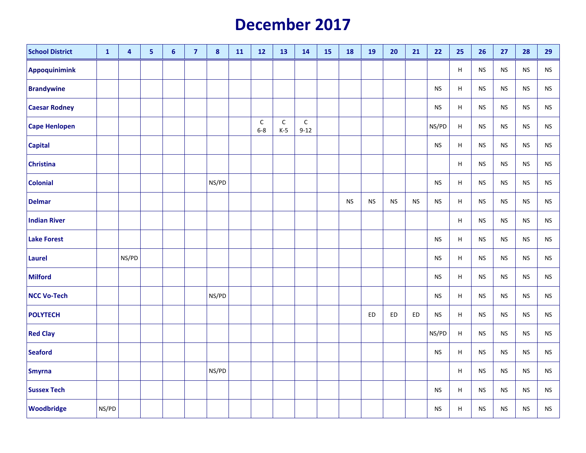### **December 2017**

| <b>School District</b> | $\mathbf{1}$ | 4     | 5 | $\boldsymbol{6}$ | $\overline{7}$ | $\boldsymbol{8}$ | <b>11</b> | $12$                   | 13                   | 14            | 15 | 18        | 19                   | 20        | 21        | 22                   | 25                        | 26                   | 27        | 28                   | 29         |
|------------------------|--------------|-------|---|------------------|----------------|------------------|-----------|------------------------|----------------------|---------------|----|-----------|----------------------|-----------|-----------|----------------------|---------------------------|----------------------|-----------|----------------------|------------|
| Appoquinimink          |              |       |   |                  |                |                  |           |                        |                      |               |    |           |                      |           |           |                      | H                         | <b>NS</b>            | <b>NS</b> | $\mathsf{NS}\xspace$ | <b>NS</b>  |
| <b>Brandywine</b>      |              |       |   |                  |                |                  |           |                        |                      |               |    |           |                      |           |           | <b>NS</b>            | H                         | <b>NS</b>            | <b>NS</b> | ${\sf NS}$           | ${\sf NS}$ |
| <b>Caesar Rodney</b>   |              |       |   |                  |                |                  |           |                        |                      |               |    |           |                      |           |           | <b>NS</b>            | H                         | <b>NS</b>            | <b>NS</b> | $\mathsf{NS}\xspace$ | ${\sf NS}$ |
| <b>Cape Henlopen</b>   |              |       |   |                  |                |                  |           | $\mathsf C$<br>$6 - 8$ | $\mathsf C$<br>$K-5$ | C<br>$9 - 12$ |    |           |                      |           |           | NS/PD                | H                         | <b>NS</b>            | <b>NS</b> | ${\sf NS}$           | ${\sf NS}$ |
| <b>Capital</b>         |              |       |   |                  |                |                  |           |                        |                      |               |    |           |                      |           |           | <b>NS</b>            | H                         | <b>NS</b>            | <b>NS</b> | <b>NS</b>            | <b>NS</b>  |
| <b>Christina</b>       |              |       |   |                  |                |                  |           |                        |                      |               |    |           |                      |           |           |                      | $\mathsf H$               | ${\sf NS}$           | <b>NS</b> | <b>NS</b>            | ${\sf NS}$ |
| <b>Colonial</b>        |              |       |   |                  |                | NS/PD            |           |                        |                      |               |    |           |                      |           |           | <b>NS</b>            | H                         | <b>NS</b>            | <b>NS</b> | <b>NS</b>            | <b>NS</b>  |
| <b>Delmar</b>          |              |       |   |                  |                |                  |           |                        |                      |               |    | <b>NS</b> | $\mathsf{NS}\xspace$ | <b>NS</b> | <b>NS</b> | $\mathsf{NS}\xspace$ | H                         | $\mathsf{NS}\xspace$ | <b>NS</b> | $\mathsf{NS}\xspace$ | <b>NS</b>  |
| <b>Indian River</b>    |              |       |   |                  |                |                  |           |                        |                      |               |    |           |                      |           |           |                      | H                         | $\mathsf{NS}\xspace$ | <b>NS</b> | <b>NS</b>            | <b>NS</b>  |
| <b>Lake Forest</b>     |              |       |   |                  |                |                  |           |                        |                      |               |    |           |                      |           |           | <b>NS</b>            | H                         | $\mathsf{NS}\xspace$ | <b>NS</b> | ${\sf NS}$           | <b>NS</b>  |
| Laurel                 |              | NS/PD |   |                  |                |                  |           |                        |                      |               |    |           |                      |           |           | <b>NS</b>            | H                         | <b>NS</b>            | <b>NS</b> | <b>NS</b>            | <b>NS</b>  |
| Milford                |              |       |   |                  |                |                  |           |                        |                      |               |    |           |                      |           |           | <b>NS</b>            | H                         | <b>NS</b>            | <b>NS</b> | <b>NS</b>            | <b>NS</b>  |
| <b>NCC Vo-Tech</b>     |              |       |   |                  |                | NS/PD            |           |                        |                      |               |    |           |                      |           |           | <b>NS</b>            | H                         | <b>NS</b>            | <b>NS</b> | <b>NS</b>            | <b>NS</b>  |
| <b>POLYTECH</b>        |              |       |   |                  |                |                  |           |                        |                      |               |    |           | ED                   | ED        | ED        | <b>NS</b>            | H                         | <b>NS</b>            | <b>NS</b> | <b>NS</b>            | <b>NS</b>  |
| <b>Red Clay</b>        |              |       |   |                  |                |                  |           |                        |                      |               |    |           |                      |           |           | NS/PD                | H                         | <b>NS</b>            | <b>NS</b> | <b>NS</b>            | <b>NS</b>  |
| Seaford                |              |       |   |                  |                |                  |           |                        |                      |               |    |           |                      |           |           | <b>NS</b>            | H                         | <b>NS</b>            | <b>NS</b> | <b>NS</b>            | <b>NS</b>  |
| Smyrna                 |              |       |   |                  |                | NS/PD            |           |                        |                      |               |    |           |                      |           |           |                      | $\boldsymbol{\mathsf{H}}$ | $\mathsf{NS}\xspace$ | <b>NS</b> | ${\sf NS}$           | <b>NS</b>  |
| <b>Sussex Tech</b>     |              |       |   |                  |                |                  |           |                        |                      |               |    |           |                      |           |           | <b>NS</b>            | H                         | <b>NS</b>            | <b>NS</b> | ${\sf NS}$           | <b>NS</b>  |
| Woodbridge             | NS/PD        |       |   |                  |                |                  |           |                        |                      |               |    |           |                      |           |           | <b>NS</b>            | H                         | $\mathsf{NS}\xspace$ | <b>NS</b> | $\mathsf{NS}\xspace$ | ${\sf NS}$ |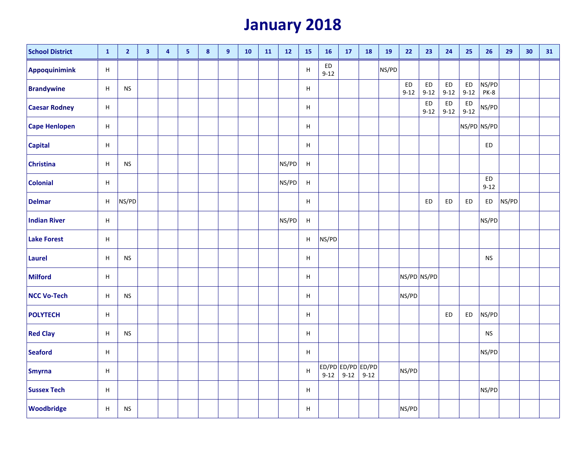### **January 2018**

| <b>School District</b> | $\mathbf 1$    | $\overline{2}$       | $\overline{\mathbf{3}}$ | $\overline{4}$ | $\overline{\mathbf{5}}$ | 8 | $\boldsymbol{9}$ | 10 | 11 | 12    | 15            | 16                            | 17       | 18       | 19    | $22$           | 23                    | 24                    | 25             | 26                    | 29    | 30 | 31 |
|------------------------|----------------|----------------------|-------------------------|----------------|-------------------------|---|------------------|----|----|-------|---------------|-------------------------------|----------|----------|-------|----------------|-----------------------|-----------------------|----------------|-----------------------|-------|----|----|
| <b>Appoquinimink</b>   | H              |                      |                         |                |                         |   |                  |    |    |       | H             | ED<br>$9 - 12$                |          |          | NS/PD |                |                       |                       |                |                       |       |    |    |
| <b>Brandywine</b>      | H              | <b>NS</b>            |                         |                |                         |   |                  |    |    |       | H             |                               |          |          |       | ED<br>$9 - 12$ | <b>ED</b><br>$9 - 12$ | ED<br>$9 - 12$        | ED<br>$9 - 12$ | NS/PD<br>PK-8         |       |    |    |
| <b>Caesar Rodney</b>   | H              |                      |                         |                |                         |   |                  |    |    |       | H             |                               |          |          |       |                | <b>ED</b><br>$9 - 12$ | <b>ED</b><br>$9 - 12$ | ED<br>$9 - 12$ | NS/PD                 |       |    |    |
| <b>Cape Henlopen</b>   | H              |                      |                         |                |                         |   |                  |    |    |       | н             |                               |          |          |       |                |                       |                       |                | NS/PD NS/PD           |       |    |    |
| <b>Capital</b>         | H              |                      |                         |                |                         |   |                  |    |    |       | H             |                               |          |          |       |                |                       |                       |                | <b>ED</b>             |       |    |    |
| <b>Christina</b>       | H              | <b>NS</b>            |                         |                |                         |   |                  |    |    | NS/PD | H             |                               |          |          |       |                |                       |                       |                |                       |       |    |    |
| <b>Colonial</b>        | $\mathsf{H}$   |                      |                         |                |                         |   |                  |    |    | NS/PD | $\mathsf{H}%$ |                               |          |          |       |                |                       |                       |                | <b>ED</b><br>$9 - 12$ |       |    |    |
| <b>Delmar</b>          | H              | NS/PD                |                         |                |                         |   |                  |    |    |       | H             |                               |          |          |       |                | <b>ED</b>             | ED                    | ED             | <b>ED</b>             | NS/PD |    |    |
| <b>Indian River</b>    | H              |                      |                         |                |                         |   |                  |    |    | NS/PD | $\mathsf{H}$  |                               |          |          |       |                |                       |                       |                | NS/PD                 |       |    |    |
| <b>Lake Forest</b>     | $\overline{H}$ |                      |                         |                |                         |   |                  |    |    |       | $\mathsf{H}$  | NS/PD                         |          |          |       |                |                       |                       |                |                       |       |    |    |
| <b>Laurel</b>          | H              | <b>NS</b>            |                         |                |                         |   |                  |    |    |       | $\mathsf{H}$  |                               |          |          |       |                |                       |                       |                | <b>NS</b>             |       |    |    |
| <b>Milford</b>         | Н              |                      |                         |                |                         |   |                  |    |    |       | Н             |                               |          |          |       |                | NS/PD NS/PD           |                       |                |                       |       |    |    |
| <b>NCC Vo-Tech</b>     | H              | $\mathsf{NS}\xspace$ |                         |                |                         |   |                  |    |    |       | H             |                               |          |          |       | NS/PD          |                       |                       |                |                       |       |    |    |
| <b>POLYTECH</b>        | H              |                      |                         |                |                         |   |                  |    |    |       | H             |                               |          |          |       |                |                       | <b>ED</b>             | <b>ED</b>      | NS/PD                 |       |    |    |
| <b>Red Clay</b>        | H              | NS                   |                         |                |                         |   |                  |    |    |       | Н             |                               |          |          |       |                |                       |                       |                | <b>NS</b>             |       |    |    |
| <b>Seaford</b>         | H              |                      |                         |                |                         |   |                  |    |    |       | H             |                               |          |          |       |                |                       |                       |                | NS/PD                 |       |    |    |
| <b>Smyrna</b>          | H              |                      |                         |                |                         |   |                  |    |    |       | H             | ED/PD ED/PD ED/PD<br>$9 - 12$ | $9 - 12$ | $9 - 12$ |       | NS/PD          |                       |                       |                |                       |       |    |    |
| <b>Sussex Tech</b>     | Н              |                      |                         |                |                         |   |                  |    |    |       | н             |                               |          |          |       |                |                       |                       |                | NS/PD                 |       |    |    |
| Woodbridge             | H              | <b>NS</b>            |                         |                |                         |   |                  |    |    |       | H             |                               |          |          |       | NS/PD          |                       |                       |                |                       |       |    |    |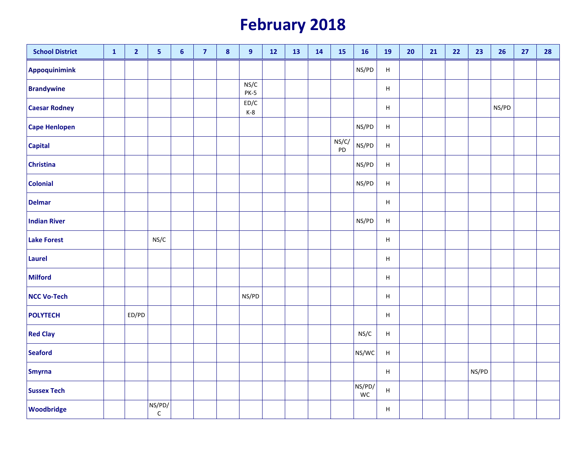### **February 2018**

| <b>School District</b> | $\mathbf 1$ | $\overline{2}$ | $\overline{\mathbf{5}}$ | $6\phantom{a}$ | $\overline{7}$ | 8 | $\boldsymbol{9}$ | 12 | 13 | 14 | 15          | <b>16</b>    | 19                        | 20 | 21 | 22 | 23    | 26    | 27 | 28 |
|------------------------|-------------|----------------|-------------------------|----------------|----------------|---|------------------|----|----|----|-------------|--------------|---------------------------|----|----|----|-------|-------|----|----|
| <b>Appoquinimink</b>   |             |                |                         |                |                |   |                  |    |    |    |             | NS/PD        | H                         |    |    |    |       |       |    |    |
| <b>Brandywine</b>      |             |                |                         |                |                |   | NS/C<br>PK-5     |    |    |    |             |              | Н                         |    |    |    |       |       |    |    |
| <b>Caesar Rodney</b>   |             |                |                         |                |                |   | ED/C<br>$K-8$    |    |    |    |             |              | $\boldsymbol{\mathsf{H}}$ |    |    |    |       | NS/PD |    |    |
| <b>Cape Henlopen</b>   |             |                |                         |                |                |   |                  |    |    |    |             | NS/PD        | $\mathsf H$               |    |    |    |       |       |    |    |
| <b>Capital</b>         |             |                |                         |                |                |   |                  |    |    |    | NS/C/<br>PD | NS/PD        | H                         |    |    |    |       |       |    |    |
| <b>Christina</b>       |             |                |                         |                |                |   |                  |    |    |    |             | NS/PD        | $\mathsf H$               |    |    |    |       |       |    |    |
| <b>Colonial</b>        |             |                |                         |                |                |   |                  |    |    |    |             | NS/PD        | $\boldsymbol{\mathsf{H}}$ |    |    |    |       |       |    |    |
| <b>Delmar</b>          |             |                |                         |                |                |   |                  |    |    |    |             |              | H                         |    |    |    |       |       |    |    |
| <b>Indian River</b>    |             |                |                         |                |                |   |                  |    |    |    |             | NS/PD        | $\boldsymbol{\mathsf{H}}$ |    |    |    |       |       |    |    |
| <b>Lake Forest</b>     |             |                | NS/C                    |                |                |   |                  |    |    |    |             |              | $\boldsymbol{\mathsf{H}}$ |    |    |    |       |       |    |    |
| Laurel                 |             |                |                         |                |                |   |                  |    |    |    |             |              | Н                         |    |    |    |       |       |    |    |
| <b>Milford</b>         |             |                |                         |                |                |   |                  |    |    |    |             |              | H                         |    |    |    |       |       |    |    |
| <b>NCC Vo-Tech</b>     |             |                |                         |                |                |   | NS/PD            |    |    |    |             |              | H                         |    |    |    |       |       |    |    |
| <b>POLYTECH</b>        |             | ED/PD          |                         |                |                |   |                  |    |    |    |             |              | H                         |    |    |    |       |       |    |    |
| <b>Red Clay</b>        |             |                |                         |                |                |   |                  |    |    |    |             | NS/C         | H                         |    |    |    |       |       |    |    |
| <b>Seaford</b>         |             |                |                         |                |                |   |                  |    |    |    |             | NS/WC        | $\boldsymbol{\mathsf{H}}$ |    |    |    |       |       |    |    |
| <b>Smyrna</b>          |             |                |                         |                |                |   |                  |    |    |    |             |              | H                         |    |    |    | NS/PD |       |    |    |
| <b>Sussex Tech</b>     |             |                |                         |                |                |   |                  |    |    |    |             | NS/PD/<br>WC | $\boldsymbol{\mathsf{H}}$ |    |    |    |       |       |    |    |
| <b>Woodbridge</b>      |             |                | NS/PD/<br>$\mathsf C$   |                |                |   |                  |    |    |    |             |              | $\boldsymbol{\mathsf{H}}$ |    |    |    |       |       |    |    |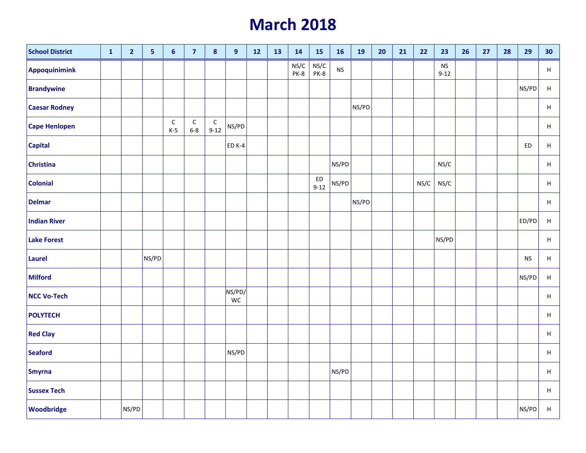### **March 2018**

| <b>School District</b> | $\mathbf{1}$ | $\overline{2}$ | 5     | $\boldsymbol{6}$     | $\overline{\mathbf{z}}$ | $\pmb{8}$               | $9$          | 12 | 13 | 14           | 15                    | 16         | <b>19</b> | 20 | 21 | 22   | 23                    | 26 | 27 | 28 | 29        | 30 <sub>o</sub>           |
|------------------------|--------------|----------------|-------|----------------------|-------------------------|-------------------------|--------------|----|----|--------------|-----------------------|------------|-----------|----|----|------|-----------------------|----|----|----|-----------|---------------------------|
| Appoquinimink          |              |                |       |                      |                         |                         |              |    |    | NS/C<br>PK-8 | NS/C<br>PK-8          | ${\sf NS}$ |           |    |    |      | <b>NS</b><br>$9 - 12$ |    |    |    |           | $\mathsf H$               |
| <b>Brandywine</b>      |              |                |       |                      |                         |                         |              |    |    |              |                       |            |           |    |    |      |                       |    |    |    | NS/PD     | $\boldsymbol{\mathsf{H}}$ |
| <b>Caesar Rodney</b>   |              |                |       |                      |                         |                         |              |    |    |              |                       |            | NS/PD     |    |    |      |                       |    |    |    |           | $\boldsymbol{\mathsf{H}}$ |
| <b>Cape Henlopen</b>   |              |                |       | $\mathsf C$<br>$K-5$ | $\mathsf C$<br>$6 - 8$  | $\mathsf C$<br>$9 - 12$ | NS/PD        |    |    |              |                       |            |           |    |    |      |                       |    |    |    |           | $\sf H$                   |
| <b>Capital</b>         |              |                |       |                      |                         |                         | ED K-4       |    |    |              |                       |            |           |    |    |      |                       |    |    |    | ED        | $\boldsymbol{\mathsf{H}}$ |
| <b>Christina</b>       |              |                |       |                      |                         |                         |              |    |    |              |                       | NS/PD      |           |    |    |      | NS/C                  |    |    |    |           | $\boldsymbol{\mathsf{H}}$ |
| <b>Colonial</b>        |              |                |       |                      |                         |                         |              |    |    |              | <b>ED</b><br>$9 - 12$ | NS/PD      |           |    |    | NS/C | NS/C                  |    |    |    |           | H                         |
| <b>Delmar</b>          |              |                |       |                      |                         |                         |              |    |    |              |                       |            | NS/PD     |    |    |      |                       |    |    |    |           | $\boldsymbol{\mathsf{H}}$ |
| <b>Indian River</b>    |              |                |       |                      |                         |                         |              |    |    |              |                       |            |           |    |    |      |                       |    |    |    | ED/PD     | $\mathsf H$               |
| <b>Lake Forest</b>     |              |                |       |                      |                         |                         |              |    |    |              |                       |            |           |    |    |      | NS/PD                 |    |    |    |           | H                         |
| Laurel                 |              |                | NS/PD |                      |                         |                         |              |    |    |              |                       |            |           |    |    |      |                       |    |    |    | <b>NS</b> | $\boldsymbol{\mathsf{H}}$ |
| Milford                |              |                |       |                      |                         |                         |              |    |    |              |                       |            |           |    |    |      |                       |    |    |    | NS/PD     | $\sf H$                   |
| <b>NCC Vo-Tech</b>     |              |                |       |                      |                         |                         | NS/PD/<br>WC |    |    |              |                       |            |           |    |    |      |                       |    |    |    |           | $\boldsymbol{\mathsf{H}}$ |
| <b>POLYTECH</b>        |              |                |       |                      |                         |                         |              |    |    |              |                       |            |           |    |    |      |                       |    |    |    |           | $\boldsymbol{\mathsf{H}}$ |
| <b>Red Clay</b>        |              |                |       |                      |                         |                         |              |    |    |              |                       |            |           |    |    |      |                       |    |    |    |           | $\boldsymbol{\mathsf{H}}$ |
| Seaford                |              |                |       |                      |                         |                         | NS/PD        |    |    |              |                       |            |           |    |    |      |                       |    |    |    |           | $\boldsymbol{\mathsf{H}}$ |
| Smyrna                 |              |                |       |                      |                         |                         |              |    |    |              |                       | NS/PD      |           |    |    |      |                       |    |    |    |           | H                         |
| <b>Sussex Tech</b>     |              |                |       |                      |                         |                         |              |    |    |              |                       |            |           |    |    |      |                       |    |    |    |           | $\boldsymbol{\mathsf{H}}$ |
| Woodbridge             |              | NS/PD          |       |                      |                         |                         |              |    |    |              |                       |            |           |    |    |      |                       |    |    |    | NS/PD     | $\boldsymbol{\mathsf{H}}$ |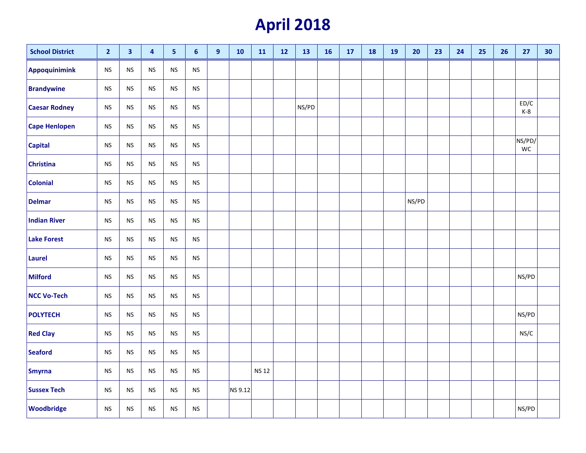## **April 2018**

| <b>School District</b> | $\overline{2}$ | $\mathbf{3}$         | 4                    | $\overline{\mathbf{5}}$ | $6\phantom{1}$ | 9 | 10      | 11           | 12 | 13    | 16 | 17 | <b>18</b> | 19 | 20    | 23 | 24 | 25 | 26 | 27            | 30 |
|------------------------|----------------|----------------------|----------------------|-------------------------|----------------|---|---------|--------------|----|-------|----|----|-----------|----|-------|----|----|----|----|---------------|----|
| Appoquinimink          | <b>NS</b>      | <b>NS</b>            | <b>NS</b>            | <b>NS</b>               | <b>NS</b>      |   |         |              |    |       |    |    |           |    |       |    |    |    |    |               |    |
| <b>Brandywine</b>      | <b>NS</b>      | <b>NS</b>            | <b>NS</b>            | ${\sf NS}$              | <b>NS</b>      |   |         |              |    |       |    |    |           |    |       |    |    |    |    |               |    |
| <b>Caesar Rodney</b>   | <b>NS</b>      | $\mathsf{NS}\xspace$ | $\mathsf{NS}\xspace$ | <b>NS</b>               | ${\sf NS}$     |   |         |              |    | NS/PD |    |    |           |    |       |    |    |    |    | ED/C<br>$K-8$ |    |
| <b>Cape Henlopen</b>   | <b>NS</b>      | <b>NS</b>            | <b>NS</b>            | <b>NS</b>               | <b>NS</b>      |   |         |              |    |       |    |    |           |    |       |    |    |    |    |               |    |
| <b>Capital</b>         | <b>NS</b>      | <b>NS</b>            | <b>NS</b>            | <b>NS</b>               | <b>NS</b>      |   |         |              |    |       |    |    |           |    |       |    |    |    |    | NS/PD/<br>WC  |    |
| <b>Christina</b>       | <b>NS</b>      | $\mathsf{NS}\xspace$ | <b>NS</b>            | <b>NS</b>               | ${\sf NS}$     |   |         |              |    |       |    |    |           |    |       |    |    |    |    |               |    |
| <b>Colonial</b>        | <b>NS</b>      | <b>NS</b>            | <b>NS</b>            | <b>NS</b>               | <b>NS</b>      |   |         |              |    |       |    |    |           |    |       |    |    |    |    |               |    |
| <b>Delmar</b>          | <b>NS</b>      | <b>NS</b>            | <b>NS</b>            | <b>NS</b>               | <b>NS</b>      |   |         |              |    |       |    |    |           |    | NS/PD |    |    |    |    |               |    |
| <b>Indian River</b>    | <b>NS</b>      | <b>NS</b>            | <b>NS</b>            | <b>NS</b>               | ${\sf NS}$     |   |         |              |    |       |    |    |           |    |       |    |    |    |    |               |    |
| <b>Lake Forest</b>     | <b>NS</b>      | <b>NS</b>            | <b>NS</b>            | <b>NS</b>               | <b>NS</b>      |   |         |              |    |       |    |    |           |    |       |    |    |    |    |               |    |
| <b>Laurel</b>          | <b>NS</b>      | <b>NS</b>            | <b>NS</b>            | <b>NS</b>               | <b>NS</b>      |   |         |              |    |       |    |    |           |    |       |    |    |    |    |               |    |
| <b>Milford</b>         | <b>NS</b>      | <b>NS</b>            | <b>NS</b>            | <b>NS</b>               | <b>NS</b>      |   |         |              |    |       |    |    |           |    |       |    |    |    |    | NS/PD         |    |
| <b>NCC Vo-Tech</b>     | <b>NS</b>      | <b>NS</b>            | <b>NS</b>            | <b>NS</b>               | <b>NS</b>      |   |         |              |    |       |    |    |           |    |       |    |    |    |    |               |    |
| <b>POLYTECH</b>        | <b>NS</b>      | <b>NS</b>            | <b>NS</b>            | <b>NS</b>               | <b>NS</b>      |   |         |              |    |       |    |    |           |    |       |    |    |    |    | NS/PD         |    |
| <b>Red Clay</b>        | <b>NS</b>      | <b>NS</b>            | <b>NS</b>            | <b>NS</b>               | <b>NS</b>      |   |         |              |    |       |    |    |           |    |       |    |    |    |    | NS/C          |    |
| <b>Seaford</b>         | <b>NS</b>      | <b>NS</b>            | <b>NS</b>            | <b>NS</b>               | <b>NS</b>      |   |         |              |    |       |    |    |           |    |       |    |    |    |    |               |    |
| <b>Smyrna</b>          | <b>NS</b>      | <b>NS</b>            | <b>NS</b>            | <b>NS</b>               | <b>NS</b>      |   |         | <b>NS 12</b> |    |       |    |    |           |    |       |    |    |    |    |               |    |
| <b>Sussex Tech</b>     | <b>NS</b>      | $\mathsf{NS}\xspace$ | $\mathsf{NS}\xspace$ | <b>NS</b>               | ${\sf NS}$     |   | NS 9.12 |              |    |       |    |    |           |    |       |    |    |    |    |               |    |
| Woodbridge             | <b>NS</b>      | <b>NS</b>            | <b>NS</b>            | <b>NS</b>               | <b>NS</b>      |   |         |              |    |       |    |    |           |    |       |    |    |    |    | NS/PD         |    |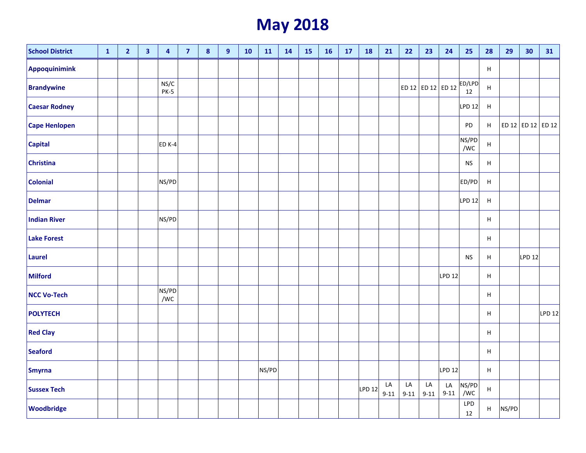### **May 2018**

| <b>School District</b> | $\mathbf{1}$ | $\overline{2}$ | 3 | 4            | $\overline{7}$ | $\pmb{8}$ | $\boldsymbol{9}$ | 10 | 11    | 14 | <b>15</b> | 16 | 17 | <b>18</b>     | 21             | 22             | 23             | 24                | 25            | 28                        | 29                | 30            | 31     |
|------------------------|--------------|----------------|---|--------------|----------------|-----------|------------------|----|-------|----|-----------|----|----|---------------|----------------|----------------|----------------|-------------------|---------------|---------------------------|-------------------|---------------|--------|
| <b>Appoquinimink</b>   |              |                |   |              |                |           |                  |    |       |    |           |    |    |               |                |                |                |                   |               | H                         |                   |               |        |
| <b>Brandywine</b>      |              |                |   | NS/C<br>PK-5 |                |           |                  |    |       |    |           |    |    |               |                |                |                | ED 12 ED 12 ED 12 | ED/LPD<br>12  | $\boldsymbol{\mathsf{H}}$ |                   |               |        |
| <b>Caesar Rodney</b>   |              |                |   |              |                |           |                  |    |       |    |           |    |    |               |                |                |                |                   | <b>LPD 12</b> | $\boldsymbol{\mathsf{H}}$ |                   |               |        |
| <b>Cape Henlopen</b>   |              |                |   |              |                |           |                  |    |       |    |           |    |    |               |                |                |                |                   | PD            | $\boldsymbol{\mathsf{H}}$ | ED 12 ED 12 ED 12 |               |        |
| <b>Capital</b>         |              |                |   | ED K-4       |                |           |                  |    |       |    |           |    |    |               |                |                |                |                   | NS/PD<br>/WC  | H                         |                   |               |        |
| <b>Christina</b>       |              |                |   |              |                |           |                  |    |       |    |           |    |    |               |                |                |                |                   | ${\sf NS}$    | H                         |                   |               |        |
| <b>Colonial</b>        |              |                |   | NS/PD        |                |           |                  |    |       |    |           |    |    |               |                |                |                |                   | ED/PD         | H                         |                   |               |        |
| <b>Delmar</b>          |              |                |   |              |                |           |                  |    |       |    |           |    |    |               |                |                |                |                   | <b>LPD 12</b> | H                         |                   |               |        |
| <b>Indian River</b>    |              |                |   | NS/PD        |                |           |                  |    |       |    |           |    |    |               |                |                |                |                   |               | H                         |                   |               |        |
| <b>Lake Forest</b>     |              |                |   |              |                |           |                  |    |       |    |           |    |    |               |                |                |                |                   |               | $\boldsymbol{\mathsf{H}}$ |                   |               |        |
| Laurel                 |              |                |   |              |                |           |                  |    |       |    |           |    |    |               |                |                |                |                   | ${\sf NS}$    | $\boldsymbol{\mathsf{H}}$ |                   | <b>LPD 12</b> |        |
| <b>Milford</b>         |              |                |   |              |                |           |                  |    |       |    |           |    |    |               |                |                |                | <b>LPD 12</b>     |               | H                         |                   |               |        |
| <b>NCC Vo-Tech</b>     |              |                |   | NS/PD<br>/WC |                |           |                  |    |       |    |           |    |    |               |                |                |                |                   |               | H                         |                   |               |        |
| <b>POLYTECH</b>        |              |                |   |              |                |           |                  |    |       |    |           |    |    |               |                |                |                |                   |               | H                         |                   |               | LPD 12 |
| <b>Red Clay</b>        |              |                |   |              |                |           |                  |    |       |    |           |    |    |               |                |                |                |                   |               | H                         |                   |               |        |
| <b>Seaford</b>         |              |                |   |              |                |           |                  |    |       |    |           |    |    |               |                |                |                |                   |               | H                         |                   |               |        |
| <b>Smyrna</b>          |              |                |   |              |                |           |                  |    | NS/PD |    |           |    |    |               |                |                |                | LPD 12            |               | H                         |                   |               |        |
| <b>Sussex Tech</b>     |              |                |   |              |                |           |                  |    |       |    |           |    |    | <b>LPD 12</b> | LA<br>$9 - 11$ | LA<br>$9 - 11$ | LA<br>$9 - 11$ | LA<br>$9 - 11$    | NS/PD<br>/WC  | $\boldsymbol{\mathsf{H}}$ |                   |               |        |
| Woodbridge             |              |                |   |              |                |           |                  |    |       |    |           |    |    |               |                |                |                |                   | LPD<br>$12\,$ | H                         | NS/PD             |               |        |